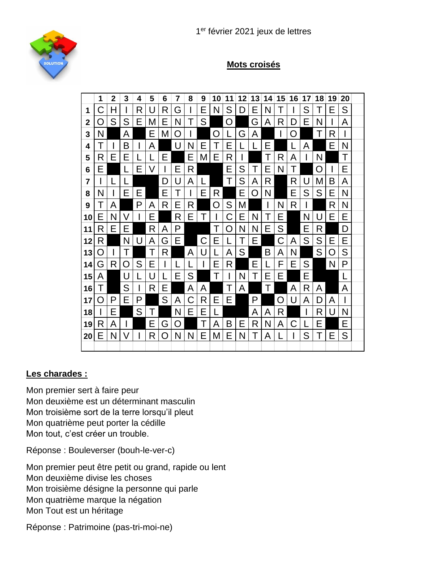

## **Mots croisés**



## **Les charades :**

Mon premier sert à faire peur Mon deuxième est un déterminant masculin Mon troisième sort de la terre lorsqu'il pleut Mon quatrième peut porter la cédille Mon tout, c'est créer un trouble.

Réponse : Bouleverser (bouh-le-ver-c)

Mon premier peut être petit ou grand, rapide ou lent Mon deuxième divise les choses Mon troisième désigne la personne qui parle Mon quatrième marque la négation Mon Tout est un héritage